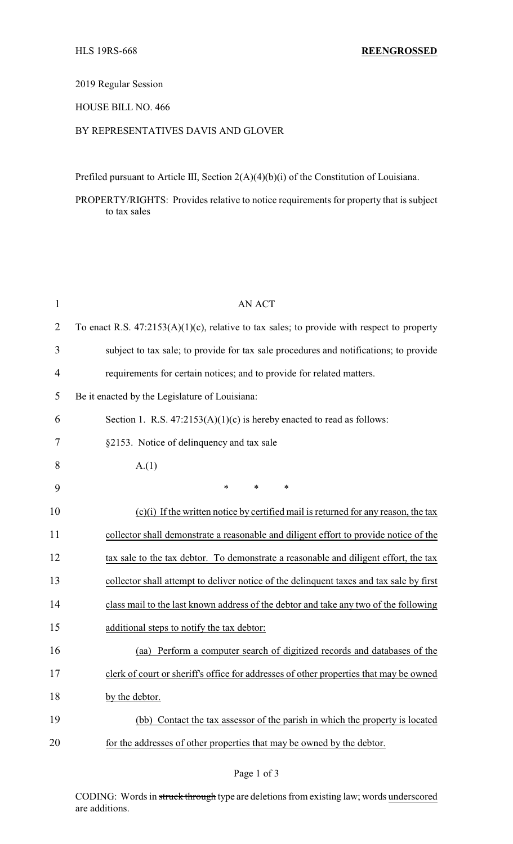2019 Regular Session

### HOUSE BILL NO. 466

## BY REPRESENTATIVES DAVIS AND GLOVER

Prefiled pursuant to Article III, Section 2(A)(4)(b)(i) of the Constitution of Louisiana.

PROPERTY/RIGHTS: Provides relative to notice requirements for property that is subject to tax sales

| $\mathbf{1}$   | <b>AN ACT</b>                                                                                 |  |  |
|----------------|-----------------------------------------------------------------------------------------------|--|--|
| $\overline{2}$ | To enact R.S. $47:2153(A)(1)(c)$ , relative to tax sales; to provide with respect to property |  |  |
| 3              | subject to tax sale; to provide for tax sale procedures and notifications; to provide         |  |  |
| $\overline{4}$ | requirements for certain notices; and to provide for related matters.                         |  |  |
| 5              | Be it enacted by the Legislature of Louisiana:                                                |  |  |
| 6              | Section 1. R.S. $47:2153(A)(1)(c)$ is hereby enacted to read as follows:                      |  |  |
| 7              | §2153. Notice of delinquency and tax sale                                                     |  |  |
| 8              | A(1)                                                                                          |  |  |
| 9              | $\ast$<br>$\ast$<br>$\ast$                                                                    |  |  |
| 10             | $(c)(i)$ If the written notice by certified mail is returned for any reason, the tax          |  |  |
| 11             | collector shall demonstrate a reasonable and diligent effort to provide notice of the         |  |  |
| 12             | tax sale to the tax debtor. To demonstrate a reasonable and diligent effort, the tax          |  |  |
| 13             | collector shall attempt to deliver notice of the delinquent taxes and tax sale by first       |  |  |
| 14             | class mail to the last known address of the debtor and take any two of the following          |  |  |
| 15             | additional steps to notify the tax debtor:                                                    |  |  |
| 16             | Perform a computer search of digitized records and databases of the<br>(aa)                   |  |  |
| 17             | clerk of court or sheriff's office for addresses of other properties that may be owned        |  |  |
| 18             | by the debtor.                                                                                |  |  |
| 19             | (bb) Contact the tax assessor of the parish in which the property is located                  |  |  |
| 20             | for the addresses of other properties that may be owned by the debtor.                        |  |  |

## Page 1 of 3

CODING: Words in struck through type are deletions from existing law; words underscored are additions.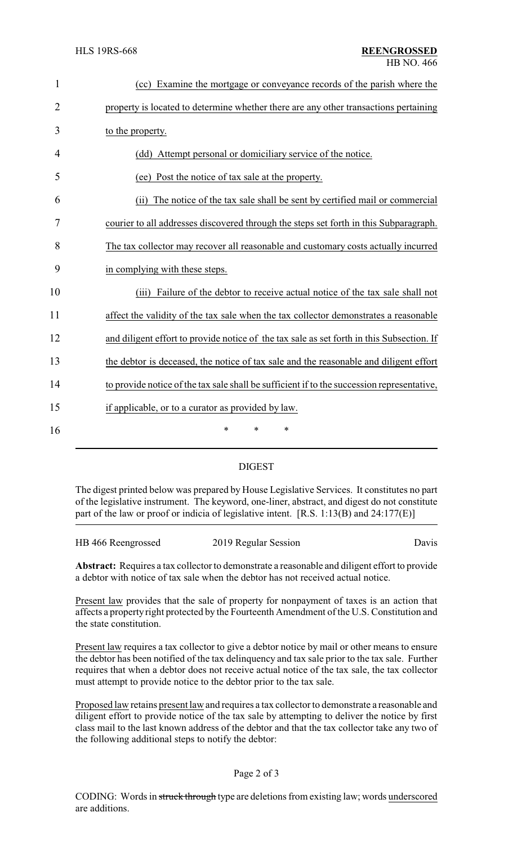| $\mathbf{1}$   | (cc) Examine the mortgage or conveyance records of the parish where the                    |
|----------------|--------------------------------------------------------------------------------------------|
| $\overline{2}$ | property is located to determine whether there are any other transactions pertaining       |
| 3              | to the property.                                                                           |
| 4              | (dd) Attempt personal or domiciliary service of the notice.                                |
| 5              | (ee) Post the notice of tax sale at the property.                                          |
| 6              | The notice of the tax sale shall be sent by certified mail or commercial<br>(ii)           |
| 7              | courier to all addresses discovered through the steps set forth in this Subparagraph.      |
| 8              | The tax collector may recover all reasonable and customary costs actually incurred         |
| 9              | in complying with these steps.                                                             |
| 10             | Failure of the debtor to receive actual notice of the tax sale shall not<br>(iii)          |
| 11             | affect the validity of the tax sale when the tax collector demonstrates a reasonable       |
| 12             | and diligent effort to provide notice of the tax sale as set forth in this Subsection. If  |
| 13             | the debtor is deceased, the notice of tax sale and the reasonable and diligent effort      |
| 14             | to provide notice of the tax sale shall be sufficient if to the succession representative, |
| 15             | if applicable, or to a curator as provided by law.                                         |
| 16             | $\ast$<br>*<br>*                                                                           |
|                |                                                                                            |

# DIGEST

The digest printed below was prepared by House Legislative Services. It constitutes no part of the legislative instrument. The keyword, one-liner, abstract, and digest do not constitute part of the law or proof or indicia of legislative intent. [R.S. 1:13(B) and 24:177(E)]

| HB 466 Reengrossed | 2019 Regular Session | Davis |
|--------------------|----------------------|-------|
|                    |                      |       |

**Abstract:** Requires a tax collector to demonstrate a reasonable and diligent effort to provide a debtor with notice of tax sale when the debtor has not received actual notice.

Present law provides that the sale of property for nonpayment of taxes is an action that affects a property right protected by the Fourteenth Amendment of the U.S. Constitution and the state constitution.

Present law requires a tax collector to give a debtor notice by mail or other means to ensure the debtor has been notified of the tax delinquency and tax sale prior to the tax sale. Further requires that when a debtor does not receive actual notice of the tax sale, the tax collector must attempt to provide notice to the debtor prior to the tax sale.

Proposed law retains present law and requires a tax collector to demonstrate a reasonable and diligent effort to provide notice of the tax sale by attempting to deliver the notice by first class mail to the last known address of the debtor and that the tax collector take any two of the following additional steps to notify the debtor:

### Page 2 of 3